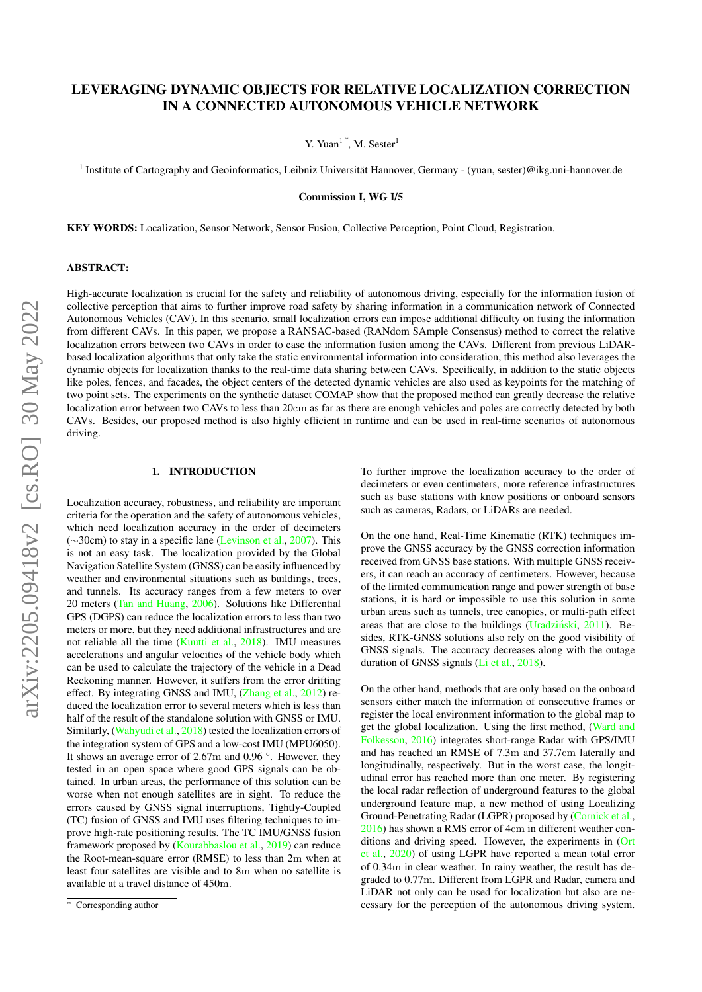# LEVERAGING DYNAMIC OBJECTS FOR RELATIVE LOCALIZATION CORRECTION IN A CONNECTED AUTONOMOUS VEHICLE NETWORK

Y. Yuan<sup>1</sup><sup>\*</sup>, M. Sester<sup>1</sup>

<sup>1</sup> Institute of Cartography and Geoinformatics, Leibniz Universität Hannover, Germany - (yuan, sester)@ikg.uni-hannover.de

Commission I, WG I/5

KEY WORDS: Localization, Sensor Network, Sensor Fusion, Collective Perception, Point Cloud, Registration.

### ABSTRACT:

High-accurate localization is crucial for the safety and reliability of autonomous driving, especially for the information fusion of collective perception that aims to further improve road safety by sharing information in a communication network of Connected Autonomous Vehicles (CAV). In this scenario, small localization errors can impose additional difficulty on fusing the information from different CAVs. In this paper, we propose a RANSAC-based (RANdom SAmple Consensus) method to correct the relative localization errors between two CAVs in order to ease the information fusion among the CAVs. Different from previous LiDARbased localization algorithms that only take the static environmental information into consideration, this method also leverages the dynamic objects for localization thanks to the real-time data sharing between CAVs. Specifically, in addition to the static objects like poles, fences, and facades, the object centers of the detected dynamic vehicles are also used as keypoints for the matching of two point sets. The experiments on the synthetic dataset COMAP show that the proposed method can greatly decrease the relative localization error between two CAVs to less than 20cm as far as there are enough vehicles and poles are correctly detected by both CAVs. Besides, our proposed method is also highly efficient in runtime and can be used in real-time scenarios of autonomous driving.

## 1. INTRODUCTION

Localization accuracy, robustness, and reliability are important criteria for the operation and the safety of autonomous vehicles, which need localization accuracy in the order of decimeters (∼30cm) to stay in a specific lane [\(Levinson et al.,](#page-7-0) [2007\)](#page-7-0). This is not an easy task. The localization provided by the Global Navigation Satellite System (GNSS) can be easily influenced by weather and environmental situations such as buildings, trees, and tunnels. Its accuracy ranges from a few meters to over 20 meters [\(Tan and Huang,](#page-7-1) [2006\)](#page-7-1). Solutions like Differential GPS (DGPS) can reduce the localization errors to less than two meters or more, but they need additional infrastructures and are not reliable all the time [\(Kuutti et al.,](#page-7-2) [2018\)](#page-7-2). IMU measures accelerations and angular velocities of the vehicle body which can be used to calculate the trajectory of the vehicle in a Dead Reckoning manner. However, it suffers from the error drifting effect. By integrating GNSS and IMU, [\(Zhang et al.,](#page-8-0) [2012\)](#page-8-0) reduced the localization error to several meters which is less than half of the result of the standalone solution with GNSS or IMU. Similarly, [\(Wahyudi et al.,](#page-7-3) [2018\)](#page-7-3) tested the localization errors of the integration system of GPS and a low-cost IMU (MPU6050). It shows an average error of 2.67m and 0.96 °. However, they tested in an open space where good GPS signals can be obtained. In urban areas, the performance of this solution can be worse when not enough satellites are in sight. To reduce the errors caused by GNSS signal interruptions, Tightly-Coupled (TC) fusion of GNSS and IMU uses filtering techniques to improve high-rate positioning results. The TC IMU/GNSS fusion framework proposed by [\(Kourabbaslou et al.,](#page-7-4) [2019\)](#page-7-4) can reduce the Root-mean-square error (RMSE) to less than 2m when at least four satellites are visible and to 8m when no satellite is available at a travel distance of 450m.

To further improve the localization accuracy to the order of decimeters or even centimeters, more reference infrastructures such as base stations with know positions or onboard sensors such as cameras, Radars, or LiDARs are needed.

On the one hand, Real-Time Kinematic (RTK) techniques improve the GNSS accuracy by the GNSS correction information received from GNSS base stations. With multiple GNSS receivers, it can reach an accuracy of centimeters. However, because of the limited communication range and power strength of base stations, it is hard or impossible to use this solution in some urban areas such as tunnels, tree canopies, or multi-path effect areas that are close to the buildings (Uradziński,  $2011$ ). Besides, RTK-GNSS solutions also rely on the good visibility of GNSS signals. The accuracy decreases along with the outage duration of GNSS signals [\(Li et al.,](#page-7-6) [2018\)](#page-7-6).

On the other hand, methods that are only based on the onboard sensors either match the information of consecutive frames or register the local environment information to the global map to get the global localization. Using the first method, [\(Ward and](#page-7-7) [Folkesson,](#page-7-7) [2016\)](#page-7-7) integrates short-range Radar with GPS/IMU and has reached an RMSE of 7.3m and 37.7cm laterally and longitudinally, respectively. But in the worst case, the longitudinal error has reached more than one meter. By registering the local radar reflection of underground features to the global underground feature map, a new method of using Localizing Ground-Penetrating Radar (LGPR) proposed by [\(Cornick et al.,](#page-6-0) [2016\)](#page-6-0) has shown a RMS error of 4cm in different weather conditions and driving speed. However, the experiments in [\(Ort](#page-7-8) [et al.,](#page-7-8) [2020\)](#page-7-8) of using LGPR have reported a mean total error of 0.34m in clear weather. In rainy weather, the result has degraded to 0.77m. Different from LGPR and Radar, camera and LiDAR not only can be used for localization but also are necessary for the perception of the autonomous driving system.

<sup>∗</sup> Corresponding author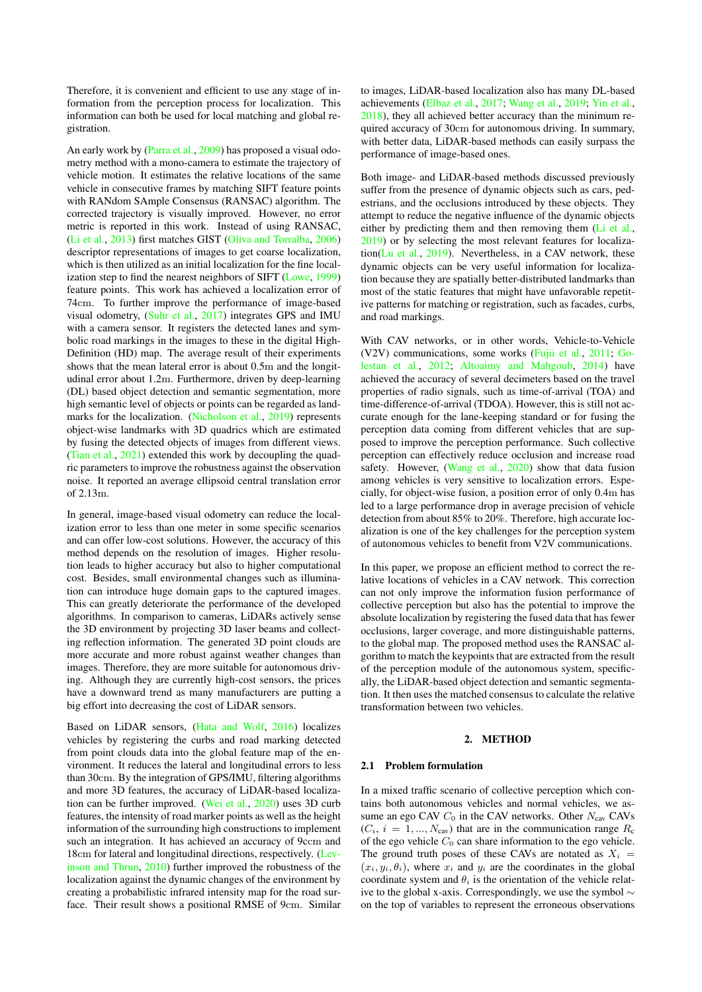Therefore, it is convenient and efficient to use any stage of information from the perception process for localization. This information can both be used for local matching and global registration.

An early work by [\(Parra et al.,](#page-7-9) [2009\)](#page-7-9) has proposed a visual odometry method with a mono-camera to estimate the trajectory of vehicle motion. It estimates the relative locations of the same vehicle in consecutive frames by matching SIFT feature points with RANdom SAmple Consensus (RANSAC) algorithm. The corrected trajectory is visually improved. However, no error metric is reported in this work. Instead of using RANSAC, [\(Li et al.,](#page-7-10) [2013\)](#page-7-10) first matches GIST [\(Oliva and Torralba,](#page-7-11) [2006\)](#page-7-11) descriptor representations of images to get coarse localization, which is then utilized as an initial localization for the fine localization step to find the nearest neighbors of SIFT [\(Lowe,](#page-7-12) [1999\)](#page-7-12) feature points. This work has achieved a localization error of 74cm. To further improve the performance of image-based visual odometry, [\(Suhr et al.,](#page-7-13) [2017\)](#page-7-13) integrates GPS and IMU with a camera sensor. It registers the detected lanes and symbolic road markings in the images to these in the digital High-Definition (HD) map. The average result of their experiments shows that the mean lateral error is about 0.5m and the longitudinal error about 1.2m. Furthermore, driven by deep-learning (DL) based object detection and semantic segmentation, more high semantic level of objects or points can be regarded as landmarks for the localization. [\(Nicholson et al.,](#page-7-14) [2019\)](#page-7-14) represents object-wise landmarks with 3D quadrics which are estimated by fusing the detected objects of images from different views. [\(Tian et al.,](#page-7-15) [2021\)](#page-7-15) extended this work by decoupling the quadric parameters to improve the robustness against the observation noise. It reported an average ellipsoid central translation error of 2.13m.

In general, image-based visual odometry can reduce the localization error to less than one meter in some specific scenarios and can offer low-cost solutions. However, the accuracy of this method depends on the resolution of images. Higher resolution leads to higher accuracy but also to higher computational cost. Besides, small environmental changes such as illumination can introduce huge domain gaps to the captured images. This can greatly deteriorate the performance of the developed algorithms. In comparison to cameras, LiDARs actively sense the 3D environment by projecting 3D laser beams and collecting reflection information. The generated 3D point clouds are more accurate and more robust against weather changes than images. Therefore, they are more suitable for autonomous driving. Although they are currently high-cost sensors, the prices have a downward trend as many manufacturers are putting a big effort into decreasing the cost of LiDAR sensors.

Based on LiDAR sensors, [\(Hata and Wolf,](#page-7-16) [2016\)](#page-7-16) localizes vehicles by registering the curbs and road marking detected from point clouds data into the global feature map of the environment. It reduces the lateral and longitudinal errors to less than 30cm. By the integration of GPS/IMU, filtering algorithms and more 3D features, the accuracy of LiDAR-based localization can be further improved. [\(Wei et al.,](#page-7-17) [2020\)](#page-7-17) uses 3D curb features, the intensity of road marker points as well as the height information of the surrounding high constructions to implement such an integration. It has achieved an accuracy of 9ccm and 18cm for lateral and longitudinal directions, respectively. [\(Lev](#page-7-18)[inson and Thrun,](#page-7-18) [2010\)](#page-7-18) further improved the robustness of the localization against the dynamic changes of the environment by creating a probabilistic infrared intensity map for the road surface. Their result shows a positional RMSE of 9cm. Similar to images, LiDAR-based localization also has many DL-based achievements [\(Elbaz et al.,](#page-6-1) [2017;](#page-6-1) [Wang et al.,](#page-7-19) [2019;](#page-7-19) [Yin et al.,](#page-7-20) [2018\)](#page-7-20), they all achieved better accuracy than the minimum required accuracy of 30cm for autonomous driving. In summary, with better data, LiDAR-based methods can easily surpass the performance of image-based ones.

Both image- and LiDAR-based methods discussed previously suffer from the presence of dynamic objects such as cars, pedestrians, and the occlusions introduced by these objects. They attempt to reduce the negative influence of the dynamic objects either by predicting them and then removing them [\(Li et al.,](#page-7-21) [2019\)](#page-7-21) or by selecting the most relevant features for localization[\(Lu et al.,](#page-7-22) [2019\)](#page-7-22). Nevertheless, in a CAV network, these dynamic objects can be very useful information for localization because they are spatially better-distributed landmarks than most of the static features that might have unfavorable repetitive patterns for matching or registration, such as facades, curbs, and road markings.

With CAV networks, or in other words, Vehicle-to-Vehicle (V2V) communications, some works [\(Fujii et al.,](#page-7-23) [2011;](#page-7-23) [Go](#page-7-24)[lestan et al.,](#page-7-24) [2012;](#page-7-24) [Altoaimy and Mahgoub,](#page-6-2) [2014\)](#page-6-2) have achieved the accuracy of several decimeters based on the travel properties of radio signals, such as time-of-arrival (TOA) and time-difference-of-arrival (TDOA). However, this is still not accurate enough for the lane-keeping standard or for fusing the perception data coming from different vehicles that are supposed to improve the perception performance. Such collective perception can effectively reduce occlusion and increase road safety. However, [\(Wang et al.,](#page-7-25) [2020\)](#page-7-25) show that data fusion among vehicles is very sensitive to localization errors. Especially, for object-wise fusion, a position error of only 0.4m has led to a large performance drop in average precision of vehicle detection from about 85% to 20%. Therefore, high accurate localization is one of the key challenges for the perception system of autonomous vehicles to benefit from V2V communications.

In this paper, we propose an efficient method to correct the relative locations of vehicles in a CAV network. This correction can not only improve the information fusion performance of collective perception but also has the potential to improve the absolute localization by registering the fused data that has fewer occlusions, larger coverage, and more distinguishable patterns, to the global map. The proposed method uses the RANSAC algorithm to match the keypoints that are extracted from the result of the perception module of the autonomous system, specifically, the LiDAR-based object detection and semantic segmentation. It then uses the matched consensus to calculate the relative transformation between two vehicles.

#### 2. METHOD

#### 2.1 Problem formulation

In a mixed traffic scenario of collective perception which contains both autonomous vehicles and normal vehicles, we assume an ego CAV  $C_0$  in the CAV networks. Other  $N_{\text{cav}}$  CAVs  $(C_i, i = 1, ..., N_{\text{cav}})$  that are in the communication range  $R_c$ of the ego vehicle  $C_0$  can share information to the ego vehicle. The ground truth poses of these CAVs are notated as  $X_i$  =  $(x_i, y_i, \theta_i)$ , where  $x_i$  and  $y_i$  are the coordinates in the global coordinate system and  $\theta_i$  is the orientation of the vehicle relative to the global x-axis. Correspondingly, we use the symbol ∼ on the top of variables to represent the erroneous observations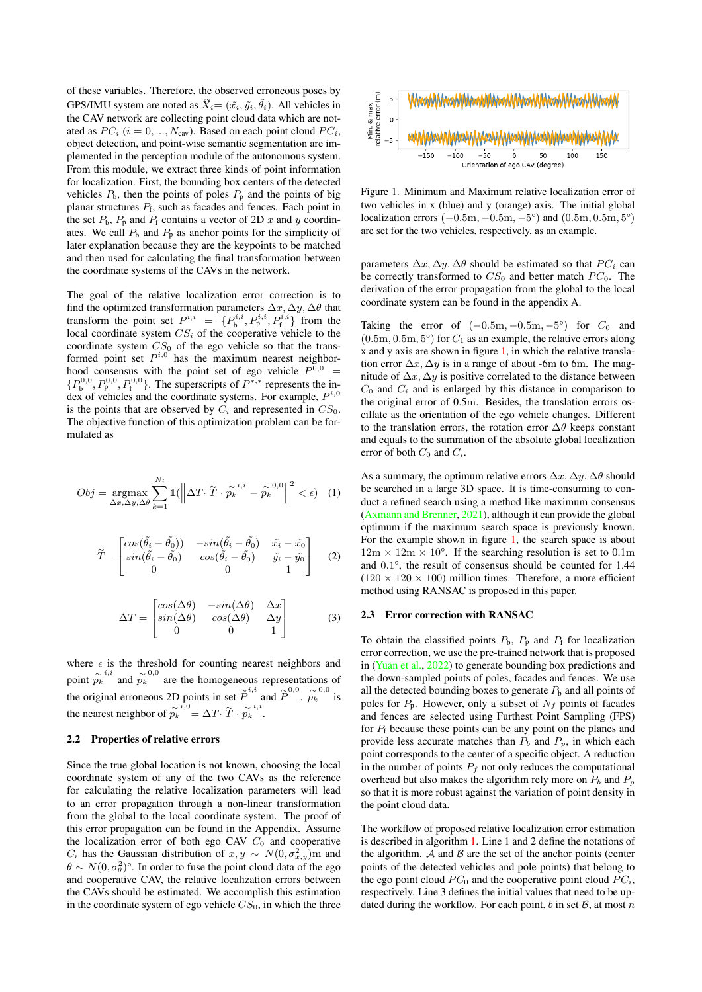of these variables. Therefore, the observed erroneous poses by GPS/IMU system are noted as  $\widetilde{X}_i = (\tilde{x}_i, \tilde{y}_i, \tilde{\theta}_i)$ . All vehicles in the CAV network are collecting point cloud data which are notated as  $PC_i$  ( $i = 0, ..., N_{\text{cav}}$ ). Based on each point cloud  $PC_i$ , object detection, and point-wise semantic segmentation are implemented in the perception module of the autonomous system. From this module, we extract three kinds of point information for localization. First, the bounding box centers of the detected vehicles  $P_b$ , then the points of poles  $P_p$  and the points of big planar structures  $P_f$ , such as facades and fences. Each point in the set  $P_b$ ,  $P_p$  and  $P_f$  contains a vector of 2D x and y coordinates. We call  $P<sub>b</sub>$  and  $P<sub>p</sub>$  as anchor points for the simplicity of later explanation because they are the keypoints to be matched and then used for calculating the final transformation between the coordinate systems of the CAVs in the network.

The goal of the relative localization error correction is to find the optimized transformation parameters  $\Delta x, \Delta y, \Delta \theta$  that transform the point set  $P^{i,i} = \{P_b^{i,i}, P_p^{i,i}, P_f^{i,i}\}\$  from the local coordinate system  $CS_i$  of the cooperative vehicle to the coordinate system  $CS_0$  of the ego vehicle so that the transformed point set  $P^{i,0}$  has the maximum nearest neighborhood consensus with the point set of ego vehicle  $P^{0,0}$  =  $\{P_6^{0,0}, P_8^{0,0}, P_9^{0,0}\}\$ . The superscripts of  $P^{*,*}$  represents the index of vehicles and the coordinate systems. For example,  $P^{i,0}$ is the points that are observed by  $C_i$  and represented in  $CS_0$ . The objective function of this optimization problem can be formulated as

$$
Obj = \underset{\Delta x, \Delta y, \Delta \theta}{\text{argmax}} \sum_{k=1}^{N_i} \mathbb{1}(\left\| \Delta T \cdot \widetilde{T} \cdot \widetilde{p_k}^{i,i} - \widetilde{p_k}^{0,0} \right\|^2 < \epsilon) \tag{1}
$$

$$
\widetilde{T} = \begin{bmatrix}\n\cos(\widetilde{\theta}_i - \widetilde{\theta}_0)) & -\sin(\widetilde{\theta}_i - \widetilde{\theta}_0) & \widetilde{x}_i - \widetilde{x}_0 \\
\sin(\widetilde{\theta}_i - \widetilde{\theta}_0) & \cos(\widetilde{\theta}_i - \widetilde{\theta}_0) & \widetilde{y}_i - \widetilde{y}_0 \\
0 & 0 & 1\n\end{bmatrix} \tag{2}
$$

$$
\Delta T = \begin{bmatrix} \cos(\Delta \theta) & -\sin(\Delta \theta) & \Delta x \\ \sin(\Delta \theta) & \cos(\Delta \theta) & \Delta y \\ 0 & 0 & 1 \end{bmatrix}
$$
 (3)

where  $\epsilon$  is the threshold for counting nearest neighbors and point  $\hat{p}_k^{i,i}$  and  $\hat{p}_k^{0,0}$  are the homogeneous representations of the original erroneous 2D points in set  $\tilde{P}^{i,i}$  and  $\tilde{P}^{0,0}$ .  $\tilde{p}_k^{0,0}$  is the nearest neighbor of  $\widetilde{p_k}^{i,0} = \Delta T \cdot \widetilde{T} \cdot \widetilde{p_k}^{i,i}$ .

#### 2.2 Properties of relative errors

Since the true global location is not known, choosing the local coordinate system of any of the two CAVs as the reference for calculating the relative localization parameters will lead to an error propagation through a non-linear transformation from the global to the local coordinate system. The proof of this error propagation can be found in the Appendix. Assume the localization error of both ego CAV  $C_0$  and cooperative  $C_i$  has the Gaussian distribution of  $x, y \sim N(0, \sigma_{x,y}^2)$ m and  $\theta \sim N(0, \sigma_\theta^2)$ °. In order to fuse the point cloud data of the ego and cooperative CAV, the relative localization errors between the CAVs should be estimated. We accomplish this estimation in the coordinate system of ego vehicle  $CS_0$ , in which the three

<span id="page-2-0"></span>

Figure 1. Minimum and Maximum relative localization error of two vehicles in x (blue) and y (orange) axis. The initial global localization errors  $(-0.5m, -0.5m, -5^{\circ})$  and  $(0.5m, 0.5m, 5^{\circ})$ are set for the two vehicles, respectively, as an example.

parameters  $\Delta x, \Delta y, \Delta \theta$  should be estimated so that PC<sub>i</sub> can be correctly transformed to  $CS_0$  and better match  $PC_0$ . The derivation of the error propagation from the global to the local coordinate system can be found in the appendix A.

Taking the error of  $(-0.5m, -0.5m, -5^{\circ})$  for  $C_0$  and  $(0.5m, 0.5m, 5^{\circ})$  for  $C_1$  as an example, the relative errors along x and y axis are shown in figure [1,](#page-2-0) in which the relative translation error  $\Delta x$ ,  $\Delta y$  is in a range of about -6m to 6m. The magnitude of  $\Delta x$ ,  $\Delta y$  is positive correlated to the distance between  $C_0$  and  $C_i$  and is enlarged by this distance in comparison to the original error of 0.5m. Besides, the translation errors oscillate as the orientation of the ego vehicle changes. Different to the translation errors, the rotation error  $\Delta\theta$  keeps constant and equals to the summation of the absolute global localization error of both  $C_0$  and  $C_i$ .

As a summary, the optimum relative errors  $\Delta x$ ,  $\Delta y$ ,  $\Delta \theta$  should be searched in a large 3D space. It is time-consuming to conduct a refined search using a method like maximum consensus [\(Axmann and Brenner,](#page-6-3) [2021\)](#page-6-3), although it can provide the global optimum if the maximum search space is previously known. For the example shown in figure [1,](#page-2-0) the search space is about  $12m \times 12m \times 10^{\circ}$ . If the searching resolution is set to 0.1m and 0.1°, the result of consensus should be counted for 1.44  $(120 \times 120 \times 100)$  million times. Therefore, a more efficient method using RANSAC is proposed in this paper.

#### <span id="page-2-1"></span>2.3 Error correction with RANSAC

To obtain the classified points  $P_b$ ,  $P_p$  and  $P_f$  for localization error correction, we use the pre-trained network that is proposed in [\(Yuan et al.,](#page-7-26) [2022\)](#page-7-26) to generate bounding box predictions and the down-sampled points of poles, facades and fences. We use all the detected bounding boxes to generate  $P<sub>b</sub>$  and all points of poles for  $P_p$ . However, only a subset of  $N_f$  points of facades and fences are selected using Furthest Point Sampling (FPS) for  $P_f$  because these points can be any point on the planes and provide less accurate matches than  $P_b$  and  $P_p$ , in which each point corresponds to the center of a specific object. A reduction in the number of points  $P_f$  not only reduces the computational overhead but also makes the algorithm rely more on  $P_b$  and  $P_p$ so that it is more robust against the variation of point density in the point cloud data.

The workflow of proposed relative localization error estimation is described in algorithm [1.](#page-3-0) Line 1 and 2 define the notations of the algorithm.  $A$  and  $B$  are the set of the anchor points (center points of the detected vehicles and pole points) that belong to the ego point cloud  $PC_0$  and the cooperative point cloud  $PC_i$ , respectively. Line 3 defines the initial values that need to be updated during the workflow. For each point, b in set  $B$ , at most n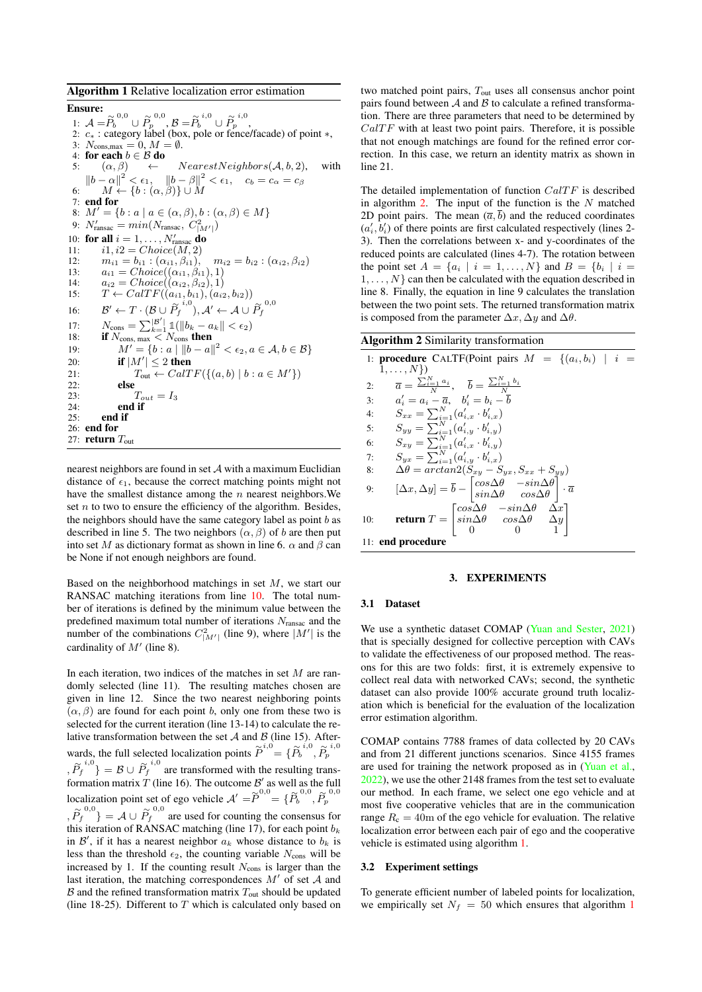<span id="page-3-0"></span>Algorithm 1 Relative localization error estimation

Ensure: 1:  $\mathcal{A} = \widetilde{P}_b^{0,0} \cup \widetilde{P}_p^{0,0}, \mathcal{B} = \widetilde{P}_b^{i,0} \cup \widetilde{P}_p^{i,0},$ 2: c<sup>∗</sup> : category label (box, pole or fence/facade) of point ∗, 3:  $N_{\text{cons,max}} = 0, M = \emptyset$ .<br>4: **for each**  $b \in \mathcal{B}$  **do** 4: for each  $b \in \mathcal{B}$  do<br>5:  $(\alpha \beta) \leftarrow$ 5:  $(\alpha, \beta)$   $\leftarrow$   $NearestNeighbors(\mathcal{A}, b, 2)$ , with  $||b - \alpha||^2 < \epsilon_1$ ,  $||b - \beta||^2 < \epsilon_1$ ,  $c_b = c_\alpha = c_\beta$ 6:  $M \leftarrow \{b : (\alpha, \beta)\} \cup M$ 7: **end for**<br>8:  $M' = \{b\}$  $M' = \{b : a \mid a \in (\alpha, \beta), b : (\alpha, \beta) \in M\}$ 9:  $N'_{\text{ransac}} = min(N_{\text{ransac}}, C^2_{|M'|})$ 10: for all  $i = 1, \ldots, N'_{\text{mass}}$  do 11:  $i1, i2 = Choice(M, 2)$ 12:  $m_{i1} = b_{i1} : (\alpha_{i1}, \beta_{i1}), \quad m_{i2} = b_{i2} : (\alpha_{i2}, \beta_{i2})$ 13:  $a_{i1} = Choice((\alpha_{i1}, \beta_{i1}), 1)$ 14:  $a_{i2} = Choice((\alpha_{i2}, \beta_{i2}), 1)$ <br>15:  $T \leftarrow CalTF((a_{i1}, b_{i1}), (a_{i2}))$  $T \leftarrow \text{CalTF}((a_{i1}, b_{i1}), (a_{i2}, b_{i2}))$ 16:  $\mathcal{B}' \leftarrow T \cdot (\mathcal{B} \cup \widetilde{P}_f^{i,0}), \mathcal{A}' \leftarrow \mathcal{A} \cup \widetilde{P}_f^{0,0}$ 17:  $N_{\text{cons}} = \sum_{k=1}^{|B'|} 1_{\text{min}}(|b_k - a_k| < \epsilon_2)$ <br>18: **if**  $N_{\text{cons, max}} < N_{\text{cons}}$  **then** 19:  $M' = \{b : a \mid ||b - a||^2 < \epsilon_2, a \in \mathcal{A}, b \in \mathcal{B}\}\$ 20: **if**  $|M'| \leq 2$  then 21:  $T_{\text{out}} \leftarrow \text{CaITE}(\{(a, b) \mid b : a \in M'\})$ 22: **else**<br>23:  $\frac{7}{2}$ 23:  $T_{out} = I_3$ <br>24: **end if** 24: end if end if 26: end for 27: return  $T_{\text{out}}$ 

nearest neighbors are found in set A with a maximum Euclidian distance of  $\epsilon_1$ , because the correct matching points might not have the smallest distance among the  $n$  nearest neighbors. We set  $n$  to two to ensure the efficiency of the algorithm. Besides, the neighbors should have the same category label as point  $b$  as described in line 5. The two neighbors  $(\alpha, \beta)$  of b are then put into set M as dictionary format as shown in line 6.  $\alpha$  and  $\beta$  can be None if not enough neighbors are found.

Based on the neighborhood matchings in set  $M$ , we start our RANSAC matching iterations from line [10.](#page-3-0) The total number of iterations is defined by the minimum value between the predefined maximum total number of iterations  $N_{\text{ransac}}$  and the number of the combinations  $C_{|M'|}^2$  (line 9), where  $|M'|$  is the cardinality of  $M'$  (line 8).

In each iteration, two indices of the matches in set  $M$  are randomly selected (line 11). The resulting matches chosen are given in line 12. Since the two nearest neighboring points  $(\alpha, \beta)$  are found for each point b, only one from these two is selected for the current iteration (line 13-14) to calculate the relative transformation between the set  $A$  and  $B$  (line 15). Afterwards, the full selected localization points  $\tilde{P}^{i,0} = {\tilde{P}_b}^{i,0}, \tilde{P}_p^{i,0}$  $\{ \tilde{P}_f^{i,0} \} = \mathcal{B} \cup \tilde{P}_f^{i,0}$  are transformed with the resulting transformation matrix T (line 16). The outcome  $\mathcal{B}'$  as well as the full localization point set of ego vehicle  $A' = \widetilde{P}^{0,0} = \{ \widetilde{P}_b^{0,0}, \widetilde{P}_p^{0,0} \}$  $\{ \tilde{P}_f^{0,0} \} = A \cup \tilde{P}_f^{0,0}$  are used for counting the consensus for this iteration of RANSAC matching (line 17), for each point  $b_k$ <br>in  $R'$  if it has a nearest peighbor  $a_k$ , whose distance to by ite in  $\mathcal{B}'$ , if it has a nearest neighbor  $a_k$  whose distance to  $b_k$  is less than the threshold  $\epsilon_2$ , the counting variable  $N_{\text{cons}}$  will be increased by 1. If the counting result  $N_{\text{cons}}$  is larger than the last iteration, the matching correspondences  $M'$  of set  $A$  and  $\beta$  and the refined transformation matrix  $T_{\text{out}}$  should be updated (line 18-25). Different to  $T$  which is calculated only based on two matched point pairs, Tout uses all consensus anchor point pairs found between  $A$  and  $B$  to calculate a refined transformation. There are three parameters that need to be determined by  $CalTF$  with at least two point pairs. Therefore, it is possible that not enough matchings are found for the refined error correction. In this case, we return an identity matrix as shown in line 21.

The detailed implementation of function  $CaITF$  is described in algorithm [2.](#page-3-1) The input of the function is the  $N$  matched 2D point pairs. The mean  $(\overline{a}, \overline{b})$  and the reduced coordinates  $(a'_i, b'_i)$  of there points are first calculated respectively (lines 2-3). Then the correlations between x- and y-coordinates of the reduced points are calculated (lines 4-7). The rotation between the point set  $A = \{a_i | i = 1, ..., N\}$  and  $B = \{b_i | i =$  $1, \ldots, N$  can then be calculated with the equation described in line 8. Finally, the equation in line 9 calculates the translation between the two point sets. The returned transformation matrix is composed from the parameter  $\Delta x$ ,  $\Delta y$  and  $\Delta \theta$ .

<span id="page-3-1"></span>

| <b>Algorithm 2 Similarity transformation</b>                                                                                                                                  |
|-------------------------------------------------------------------------------------------------------------------------------------------------------------------------------|
| 1: <b>procedure</b> CALTF(Point pairs $M = \{(a_i, b_i)   i =$                                                                                                                |
| $1,\ldots,N$ }                                                                                                                                                                |
| $\overline{a} = \frac{\sum_{i=1}^{N} a_i}{N}, \quad \overline{b} = \frac{\sum_{i=1}^{N} b_i}{N}$<br>2:                                                                        |
| $a'_i = a_i - \overline{a}, \quad b'_i = b_i - \overline{b}$<br>3:                                                                                                            |
| $S_{xx} = \sum_{i=1}^{N} (a'_{i,x} \cdot b'_{i,x})$<br>4:                                                                                                                     |
| $S_{yy} = \sum_{i=1}^{N} (a'_{i,y} \cdot b'_{i,y})$<br>5:                                                                                                                     |
| $S_{xy} = \sum_{i=1}^{N} (a'_{i,x} \cdot b'_{i,y})$<br>6:                                                                                                                     |
| $S_{ux} = \sum_{i=1}^{N} (a'_{i,y} \cdot b'_{i,x})$<br>7:                                                                                                                     |
| $\Delta\theta = \arctan( S_{xy} - S_{yx}, S_{xx} + S_{yy} )$<br>8:                                                                                                            |
| $[\Delta x, \Delta y] = \bar{b} - \begin{vmatrix} \cos \Delta \theta & -\sin \Delta \theta \\ \sin \Delta \theta & \cos \Delta \theta \end{vmatrix} \cdot \overline{a}$<br>9: |
| <b>return</b> $T = \begin{bmatrix} cos\Delta\theta & -sin\Delta\theta & \Delta x \\ sin\Delta\theta & cos\Delta\theta & \Delta y \\ 0 & 0 & 1 \end{bmatrix}$<br>10:           |
| 11: end procedure                                                                                                                                                             |

## 3. EXPERIMENTS

#### 3.1 Dataset

We use a synthetic dataset COMAP [\(Yuan and Sester,](#page-7-27) [2021\)](#page-7-27) that is specially designed for collective perception with CAVs to validate the effectiveness of our proposed method. The reasons for this are two folds: first, it is extremely expensive to collect real data with networked CAVs; second, the synthetic dataset can also provide 100% accurate ground truth localization which is beneficial for the evaluation of the localization error estimation algorithm.

COMAP contains 7788 frames of data collected by 20 CAVs and from 21 different junctions scenarios. Since 4155 frames are used for training the network proposed as in [\(Yuan et al.,](#page-7-26) [2022\)](#page-7-26), we use the other 2148 frames from the test set to evaluate our method. In each frame, we select one ego vehicle and at most five cooperative vehicles that are in the communication range  $R_c = 40$ m of the ego vehicle for evaluation. The relative localization error between each pair of ego and the cooperative vehicle is estimated using algorithm [1.](#page-3-0)

#### 3.2 Experiment settings

To generate efficient number of labeled points for localization, we empirically set  $N_f = 50$  which ensures that algorithm [1](#page-3-0)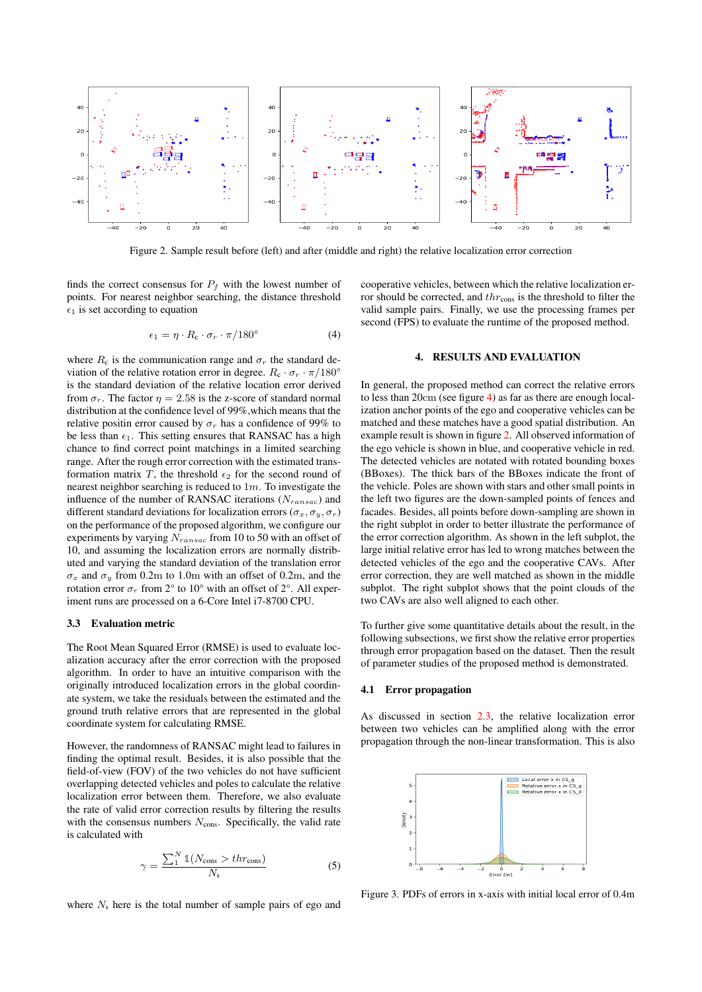<span id="page-4-0"></span>

Figure 2. Sample result before (left) and after (middle and right) the relative localization error correction

finds the correct consensus for  $P_f$  with the lowest number of points. For nearest neighbor searching, the distance threshold  $\epsilon_1$  is set according to equation

$$
\epsilon_1 = \eta \cdot R_c \cdot \sigma_r \cdot \pi / 180^\circ \tag{4}
$$

where  $R_c$  is the communication range and  $\sigma_r$  the standard deviation of the relative rotation error in degree.  $R_c \cdot \sigma_r \cdot \pi/180^\circ$ is the standard deviation of the relative location error derived from  $\sigma_r$ . The factor  $\eta = 2.58$  is the z-score of standard normal distribution at the confidence level of 99%,which means that the relative positin error caused by  $\sigma_r$  has a confidence of 99% to be less than  $\epsilon_1$ . This setting ensures that RANSAC has a high chance to find correct point matchings in a limited searching range. After the rough error correction with the estimated transformation matrix T, the threshold  $\epsilon_2$  for the second round of nearest neighbor searching is reduced to  $1m$ . To investigate the influence of the number of RANSAC iterations  $(N_{ransac})$  and different standard deviations for localization errors ( $\sigma_x$ ,  $\sigma_y$ ,  $\sigma_r$ ) on the performance of the proposed algorithm, we configure our experiments by varying  $N_{ransac}$  from 10 to 50 with an offset of 10, and assuming the localization errors are normally distributed and varying the standard deviation of the translation error  $\sigma_x$  and  $\sigma_y$  from 0.2m to 1.0m with an offset of 0.2m, and the rotation error  $\sigma_r$  from 2° to 10° with an offset of 2°. All experiment runs are processed on a 6-Core Intel i7-8700 CPU.

#### 3.3 Evaluation metric

The Root Mean Squared Error (RMSE) is used to evaluate localization accuracy after the error correction with the proposed algorithm. In order to have an intuitive comparison with the originally introduced localization errors in the global coordinate system, we take the residuals between the estimated and the ground truth relative errors that are represented in the global coordinate system for calculating RMSE.

However, the randomness of RANSAC might lead to failures in finding the optimal result. Besides, it is also possible that the field-of-view (FOV) of the two vehicles do not have sufficient overlapping detected vehicles and poles to calculate the relative localization error between them. Therefore, we also evaluate the rate of valid error correction results by filtering the results with the consensus numbers  $N_{\text{cons}}$ . Specifically, the valid rate is calculated with

$$
\gamma = \frac{\sum_{1}^{N} \mathbb{1}(N_{\text{cons}} > thr_{\text{cons}})}{N_{\text{s}}}
$$
(5)

where  $N_s$  here is the total number of sample pairs of ego and

cooperative vehicles, between which the relative localization error should be corrected, and  $thr_{\text{cons}}$  is the threshold to filter the valid sample pairs. Finally, we use the processing frames per second (FPS) to evaluate the runtime of the proposed method.

#### 4. RESULTS AND EVALUATION

In general, the proposed method can correct the relative errors to less than 20cm (see figure [4\)](#page-5-0) as far as there are enough localization anchor points of the ego and cooperative vehicles can be matched and these matches have a good spatial distribution. An example result is shown in figure [2.](#page-4-0) All observed information of the ego vehicle is shown in blue, and cooperative vehicle in red. The detected vehicles are notated with rotated bounding boxes (BBoxes). The thick bars of the BBoxes indicate the front of the vehicle. Poles are shown with stars and other small points in the left two figures are the down-sampled points of fences and facades. Besides, all points before down-sampling are shown in the right subplot in order to better illustrate the performance of the error correction algorithm. As shown in the left subplot, the large initial relative error has led to wrong matches between the detected vehicles of the ego and the cooperative CAVs. After error correction, they are well matched as shown in the middle subplot. The right subplot shows that the point clouds of the two CAVs are also well aligned to each other.

To further give some quantitative details about the result, in the following subsections, we first show the relative error properties through error propagation based on the dataset. Then the result of parameter studies of the proposed method is demonstrated.

#### 4.1 Error propagation

As discussed in section [2.3,](#page-2-1) the relative localization error between two vehicles can be amplified along with the error propagation through the non-linear transformation. This is also

<span id="page-4-1"></span>

Figure 3. PDFs of errors in x-axis with initial local error of 0.4m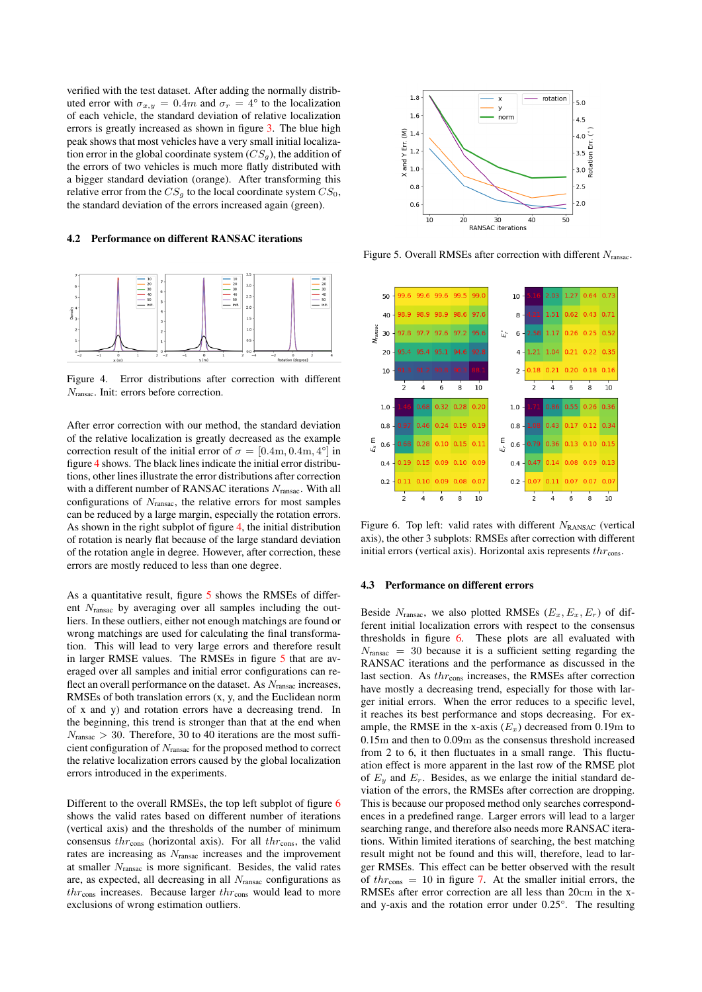verified with the test dataset. After adding the normally distributed error with  $\sigma_{x,y} = 0.4m$  and  $\sigma_r = 4^{\circ}$  to the localization of each vehicle, the standard deviation of relative localization errors is greatly increased as shown in figure [3.](#page-4-1) The blue high peak shows that most vehicles have a very small initial localization error in the global coordinate system  $(CS_g)$ , the addition of the errors of two vehicles is much more flatly distributed with a bigger standard deviation (orange). After transforming this relative error from the  $CS_g$  to the local coordinate system  $CS_0$ , the standard deviation of the errors increased again (green).

#### 4.2 Performance on different RANSAC iterations

<span id="page-5-0"></span>

Figure 4. Error distributions after correction with different Nransac. Init: errors before correction.

After error correction with our method, the standard deviation of the relative localization is greatly decreased as the example correction result of the initial error of  $\sigma = [0.4 \text{m}, 0.4 \text{m}, 4^{\circ}]$  in figure [4](#page-5-0) shows. The black lines indicate the initial error distributions, other lines illustrate the error distributions after correction with a different number of RANSAC iterations  $N_{\text{ransac}}$ . With all configurations of  $N_{\text{ransac}}$ , the relative errors for most samples can be reduced by a large margin, especially the rotation errors. As shown in the right subplot of figure [4,](#page-5-0) the initial distribution of rotation is nearly flat because of the large standard deviation of the rotation angle in degree. However, after correction, these errors are mostly reduced to less than one degree.

As a quantitative result, figure [5](#page-5-1) shows the RMSEs of different Nransac by averaging over all samples including the outliers. In these outliers, either not enough matchings are found or wrong matchings are used for calculating the final transformation. This will lead to very large errors and therefore result in larger RMSE values. The RMSEs in figure [5](#page-5-1) that are averaged over all samples and initial error configurations can reflect an overall performance on the dataset. As  $N_{\text{ransac}}$  increases, RMSEs of both translation errors (x, y, and the Euclidean norm of x and y) and rotation errors have a decreasing trend. In the beginning, this trend is stronger than that at the end when  $N_{\text{ransac}} > 30$ . Therefore, 30 to 40 iterations are the most sufficient configuration of  $N_{\rm{ransac}}$  for the proposed method to correct the relative localization errors caused by the global localization errors introduced in the experiments.

Different to the overall RMSEs, the top left subplot of figure [6](#page-5-2) shows the valid rates based on different number of iterations (vertical axis) and the thresholds of the number of minimum consensus  $thr<sub>cons</sub>$  (horizontal axis). For all  $thr<sub>cons</sub>$ , the valid rates are increasing as Nransac increases and the improvement at smaller Nransac is more significant. Besides, the valid rates are, as expected, all decreasing in all  $N<sub>ransac</sub>$  configurations as  $thr<sub>cons</sub>$  increases. Because larger  $thr<sub>cons</sub>$  would lead to more exclusions of wrong estimation outliers.

<span id="page-5-1"></span>

Figure 5. Overall RMSEs after correction with different Nransac.

<span id="page-5-2"></span>

Figure 6. Top left: valid rates with different  $N_{\rm RANSAC}$  (vertical axis), the other 3 subplots: RMSEs after correction with different initial errors (vertical axis). Horizontal axis represents  $thr_{\rm cons}$ .

#### 4.3 Performance on different errors

Beside  $N_{\text{ransac}}$ , we also plotted RMSEs  $(E_x, E_x, E_r)$  of different initial localization errors with respect to the consensus thresholds in figure [6.](#page-5-2) These plots are all evaluated with  $N_{\text{ransac}} = 30$  because it is a sufficient setting regarding the RANSAC iterations and the performance as discussed in the last section. As  $thr$ <sub>cons</sub> increases, the RMSEs after correction have mostly a decreasing trend, especially for those with larger initial errors. When the error reduces to a specific level, it reaches its best performance and stops decreasing. For example, the RMSE in the x-axis  $(E_x)$  decreased from 0.19m to 0.15m and then to 0.09m as the consensus threshold increased from 2 to 6, it then fluctuates in a small range. This fluctuation effect is more apparent in the last row of the RMSE plot of  $E_y$  and  $E_r$ . Besides, as we enlarge the initial standard deviation of the errors, the RMSEs after correction are dropping. This is because our proposed method only searches correspondences in a predefined range. Larger errors will lead to a larger searching range, and therefore also needs more RANSAC iterations. Within limited iterations of searching, the best matching result might not be found and this will, therefore, lead to larger RMSEs. This effect can be better observed with the result of  $thr_{\text{cons}} = 10$  in figure [7.](#page-6-4) At the smaller initial errors, the RMSEs after error correction are all less than 20cm in the xand y-axis and the rotation error under 0.25°. The resulting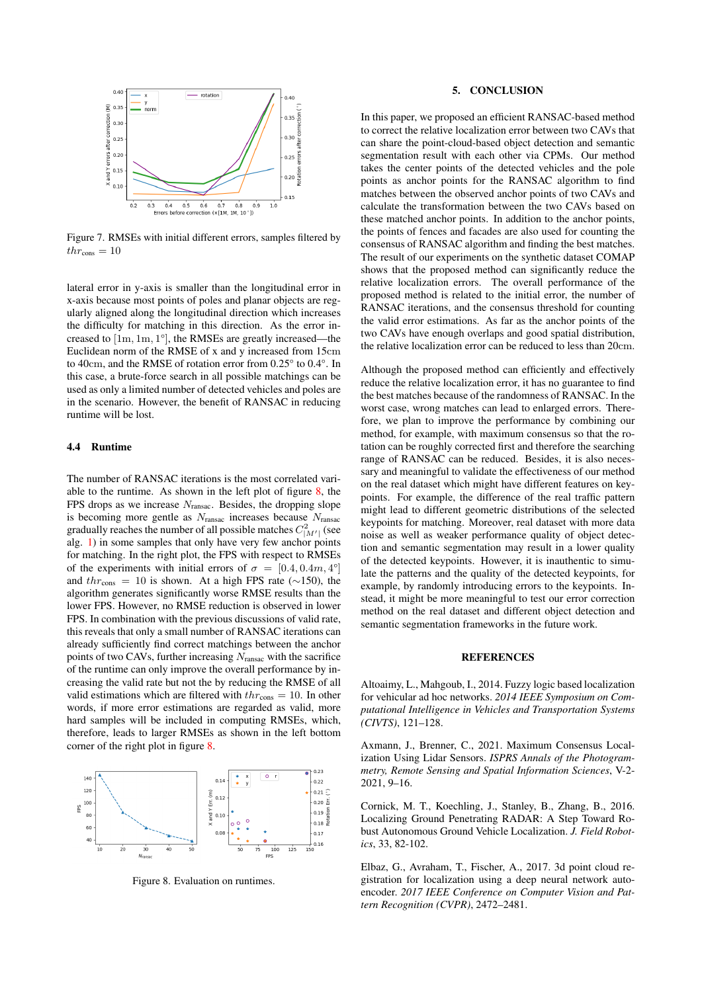<span id="page-6-4"></span>

Figure 7. RMSEs with initial different errors, samples filtered by  $thr_{\rm cons} = 10$ 

lateral error in y-axis is smaller than the longitudinal error in x-axis because most points of poles and planar objects are regularly aligned along the longitudinal direction which increases the difficulty for matching in this direction. As the error increased to [1m, 1m, 1°], the RMSEs are greatly increased—the Euclidean norm of the RMSE of x and y increased from 15cm to 40cm, and the RMSE of rotation error from 0.25° to 0.4°. In this case, a brute-force search in all possible matchings can be used as only a limited number of detected vehicles and poles are in the scenario. However, the benefit of RANSAC in reducing runtime will be lost.

## 4.4 Runtime

The number of RANSAC iterations is the most correlated variable to the runtime. As shown in the left plot of figure [8,](#page-6-5) the FPS drops as we increase  $N_{\text{ransac}}$ . Besides, the dropping slope is becoming more gentle as  $N_{\text{ransac}}$  increases because  $N_{\text{ransac}}$ gradually reaches the number of all possible matches  $C_{|M'|}^2$  (see alg. [1\)](#page-3-0) in some samples that only have very few anchor points for matching. In the right plot, the FPS with respect to RMSEs of the experiments with initial errors of  $\sigma = [0.4, 0.4m, 4^{\circ}]$ and  $thr_{\text{cons}} = 10$  is shown. At a high FPS rate (~150), the algorithm generates significantly worse RMSE results than the lower FPS. However, no RMSE reduction is observed in lower FPS. In combination with the previous discussions of valid rate, this reveals that only a small number of RANSAC iterations can already sufficiently find correct matchings between the anchor points of two CAVs, further increasing  $N_{\text{ransac}}$  with the sacrifice of the runtime can only improve the overall performance by increasing the valid rate but not the by reducing the RMSE of all valid estimations which are filtered with  $thr<sub>cons</sub> = 10$ . In other words, if more error estimations are regarded as valid, more hard samples will be included in computing RMSEs, which, therefore, leads to larger RMSEs as shown in the left bottom corner of the right plot in figure [8.](#page-6-5)

<span id="page-6-5"></span>

Figure 8. Evaluation on runtimes.

### 5. CONCLUSION

In this paper, we proposed an efficient RANSAC-based method to correct the relative localization error between two CAVs that can share the point-cloud-based object detection and semantic segmentation result with each other via CPMs. Our method takes the center points of the detected vehicles and the pole points as anchor points for the RANSAC algorithm to find matches between the observed anchor points of two CAVs and calculate the transformation between the two CAVs based on these matched anchor points. In addition to the anchor points, the points of fences and facades are also used for counting the consensus of RANSAC algorithm and finding the best matches. The result of our experiments on the synthetic dataset COMAP shows that the proposed method can significantly reduce the relative localization errors. The overall performance of the proposed method is related to the initial error, the number of RANSAC iterations, and the consensus threshold for counting the valid error estimations. As far as the anchor points of the two CAVs have enough overlaps and good spatial distribution, the relative localization error can be reduced to less than 20cm.

Although the proposed method can efficiently and effectively reduce the relative localization error, it has no guarantee to find the best matches because of the randomness of RANSAC. In the worst case, wrong matches can lead to enlarged errors. Therefore, we plan to improve the performance by combining our method, for example, with maximum consensus so that the rotation can be roughly corrected first and therefore the searching range of RANSAC can be reduced. Besides, it is also necessary and meaningful to validate the effectiveness of our method on the real dataset which might have different features on keypoints. For example, the difference of the real traffic pattern might lead to different geometric distributions of the selected keypoints for matching. Moreover, real dataset with more data noise as well as weaker performance quality of object detection and semantic segmentation may result in a lower quality of the detected keypoints. However, it is inauthentic to simulate the patterns and the quality of the detected keypoints, for example, by randomly introducing errors to the keypoints. Instead, it might be more meaningful to test our error correction method on the real dataset and different object detection and semantic segmentation frameworks in the future work.

#### **REFERENCES**

<span id="page-6-2"></span>Altoaimy, L., Mahgoub, I., 2014. Fuzzy logic based localization for vehicular ad hoc networks. *2014 IEEE Symposium on Computational Intelligence in Vehicles and Transportation Systems (CIVTS)*, 121–128.

<span id="page-6-3"></span>Axmann, J., Brenner, C., 2021. Maximum Consensus Localization Using Lidar Sensors. *ISPRS Annals of the Photogrammetry, Remote Sensing and Spatial Information Sciences*, V-2- 2021, 9–16.

<span id="page-6-0"></span>Cornick, M. T., Koechling, J., Stanley, B., Zhang, B., 2016. Localizing Ground Penetrating RADAR: A Step Toward Robust Autonomous Ground Vehicle Localization. *J. Field Robotics*, 33, 82-102.

<span id="page-6-1"></span>Elbaz, G., Avraham, T., Fischer, A., 2017. 3d point cloud registration for localization using a deep neural network autoencoder. *2017 IEEE Conference on Computer Vision and Pattern Recognition (CVPR)*, 2472–2481.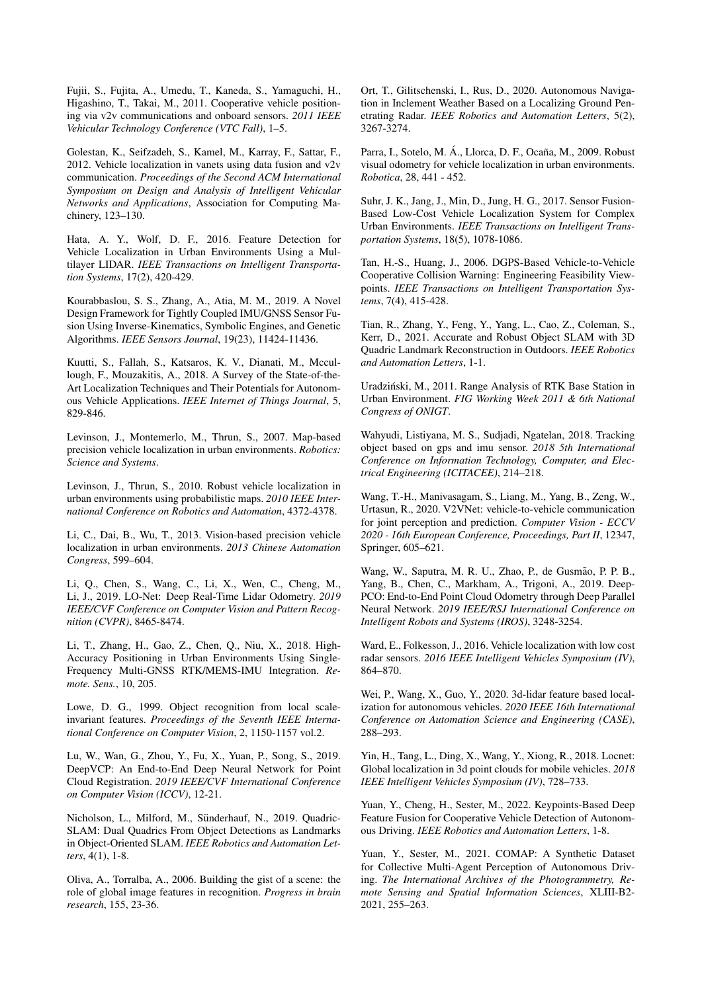<span id="page-7-23"></span>Fujii, S., Fujita, A., Umedu, T., Kaneda, S., Yamaguchi, H., Higashino, T., Takai, M., 2011. Cooperative vehicle positioning via v2v communications and onboard sensors. *2011 IEEE Vehicular Technology Conference (VTC Fall)*, 1–5.

<span id="page-7-24"></span>Golestan, K., Seifzadeh, S., Kamel, M., Karray, F., Sattar, F., 2012. Vehicle localization in vanets using data fusion and v2v communication. *Proceedings of the Second ACM International Symposium on Design and Analysis of Intelligent Vehicular Networks and Applications*, Association for Computing Machinery, 123–130.

<span id="page-7-16"></span>Hata, A. Y., Wolf, D. F., 2016. Feature Detection for Vehicle Localization in Urban Environments Using a Multilayer LIDAR. *IEEE Transactions on Intelligent Transportation Systems*, 17(2), 420-429.

<span id="page-7-4"></span>Kourabbaslou, S. S., Zhang, A., Atia, M. M., 2019. A Novel Design Framework for Tightly Coupled IMU/GNSS Sensor Fusion Using Inverse-Kinematics, Symbolic Engines, and Genetic Algorithms. *IEEE Sensors Journal*, 19(23), 11424-11436.

<span id="page-7-2"></span>Kuutti, S., Fallah, S., Katsaros, K. V., Dianati, M., Mccullough, F., Mouzakitis, A., 2018. A Survey of the State-of-the-Art Localization Techniques and Their Potentials for Autonomous Vehicle Applications. *IEEE Internet of Things Journal*, 5, 829-846.

<span id="page-7-0"></span>Levinson, J., Montemerlo, M., Thrun, S., 2007. Map-based precision vehicle localization in urban environments. *Robotics: Science and Systems*.

<span id="page-7-18"></span>Levinson, J., Thrun, S., 2010. Robust vehicle localization in urban environments using probabilistic maps. *2010 IEEE International Conference on Robotics and Automation*, 4372-4378.

<span id="page-7-10"></span>Li, C., Dai, B., Wu, T., 2013. Vision-based precision vehicle localization in urban environments. *2013 Chinese Automation Congress*, 599–604.

<span id="page-7-21"></span>Li, Q., Chen, S., Wang, C., Li, X., Wen, C., Cheng, M., Li, J., 2019. LO-Net: Deep Real-Time Lidar Odometry. *2019 IEEE/CVF Conference on Computer Vision and Pattern Recognition (CVPR)*, 8465-8474.

<span id="page-7-6"></span>Li, T., Zhang, H., Gao, Z., Chen, Q., Niu, X., 2018. High-Accuracy Positioning in Urban Environments Using Single-Frequency Multi-GNSS RTK/MEMS-IMU Integration. *Remote. Sens.*, 10, 205.

<span id="page-7-12"></span>Lowe, D. G., 1999. Object recognition from local scaleinvariant features. *Proceedings of the Seventh IEEE International Conference on Computer Vision*, 2, 1150-1157 vol.2.

<span id="page-7-22"></span>Lu, W., Wan, G., Zhou, Y., Fu, X., Yuan, P., Song, S., 2019. DeepVCP: An End-to-End Deep Neural Network for Point Cloud Registration. *2019 IEEE/CVF International Conference on Computer Vision (ICCV)*, 12-21.

<span id="page-7-14"></span>Nicholson, L., Milford, M., Sünderhauf, N., 2019. Quadric-SLAM: Dual Quadrics From Object Detections as Landmarks in Object-Oriented SLAM. *IEEE Robotics and Automation Letters*, 4(1), 1-8.

<span id="page-7-11"></span>Oliva, A., Torralba, A., 2006. Building the gist of a scene: the role of global image features in recognition. *Progress in brain research*, 155, 23-36.

<span id="page-7-8"></span>Ort, T., Gilitschenski, I., Rus, D., 2020. Autonomous Navigation in Inclement Weather Based on a Localizing Ground Penetrating Radar. *IEEE Robotics and Automation Letters*, 5(2), 3267-3274.

<span id="page-7-9"></span>Parra, I., Sotelo, M. Á., Llorca, D. F., Ocaña, M., 2009. Robust visual odometry for vehicle localization in urban environments. *Robotica*, 28, 441 - 452.

<span id="page-7-13"></span>Suhr, J. K., Jang, J., Min, D., Jung, H. G., 2017. Sensor Fusion-Based Low-Cost Vehicle Localization System for Complex Urban Environments. *IEEE Transactions on Intelligent Transportation Systems*, 18(5), 1078-1086.

<span id="page-7-1"></span>Tan, H.-S., Huang, J., 2006. DGPS-Based Vehicle-to-Vehicle Cooperative Collision Warning: Engineering Feasibility Viewpoints. *IEEE Transactions on Intelligent Transportation Systems*, 7(4), 415-428.

<span id="page-7-15"></span>Tian, R., Zhang, Y., Feng, Y., Yang, L., Cao, Z., Coleman, S., Kerr, D., 2021. Accurate and Robust Object SLAM with 3D Quadric Landmark Reconstruction in Outdoors. *IEEE Robotics and Automation Letters*, 1-1.

<span id="page-7-5"></span>Uradzinski, M., 2011. Range Analysis of RTK Base Station in ´ Urban Environment. *FIG Working Week 2011 & 6th National Congress of ONIGT*.

<span id="page-7-3"></span>Wahyudi, Listiyana, M. S., Sudjadi, Ngatelan, 2018. Tracking object based on gps and imu sensor. *2018 5th International Conference on Information Technology, Computer, and Electrical Engineering (ICITACEE)*, 214–218.

<span id="page-7-25"></span>Wang, T.-H., Manivasagam, S., Liang, M., Yang, B., Zeng, W., Urtasun, R., 2020. V2VNet: vehicle-to-vehicle communication for joint perception and prediction. *Computer Vision - ECCV 2020 - 16th European Conference, Proceedings, Part II*, 12347, Springer, 605–621.

<span id="page-7-19"></span>Wang, W., Saputra, M. R. U., Zhao, P., de Gusmão, P. P. B., Yang, B., Chen, C., Markham, A., Trigoni, A., 2019. Deep-PCO: End-to-End Point Cloud Odometry through Deep Parallel Neural Network. *2019 IEEE/RSJ International Conference on Intelligent Robots and Systems (IROS)*, 3248-3254.

<span id="page-7-7"></span>Ward, E., Folkesson, J., 2016. Vehicle localization with low cost radar sensors. *2016 IEEE Intelligent Vehicles Symposium (IV)*, 864–870.

<span id="page-7-17"></span>Wei, P., Wang, X., Guo, Y., 2020. 3d-lidar feature based localization for autonomous vehicles. *2020 IEEE 16th International Conference on Automation Science and Engineering (CASE)*, 288–293.

<span id="page-7-20"></span>Yin, H., Tang, L., Ding, X., Wang, Y., Xiong, R., 2018. Locnet: Global localization in 3d point clouds for mobile vehicles. *2018 IEEE Intelligent Vehicles Symposium (IV)*, 728–733.

<span id="page-7-26"></span>Yuan, Y., Cheng, H., Sester, M., 2022. Keypoints-Based Deep Feature Fusion for Cooperative Vehicle Detection of Autonomous Driving. *IEEE Robotics and Automation Letters*, 1-8.

<span id="page-7-27"></span>Yuan, Y., Sester, M., 2021. COMAP: A Synthetic Dataset for Collective Multi-Agent Perception of Autonomous Driving. *The International Archives of the Photogrammetry, Remote Sensing and Spatial Information Sciences*, XLIII-B2- 2021, 255–263.